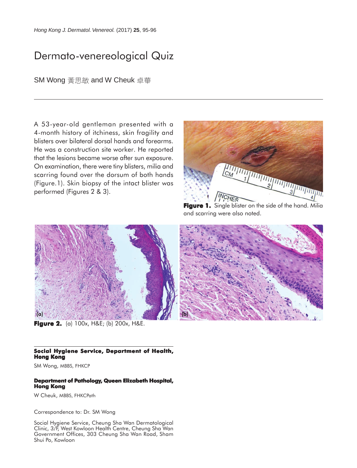## Dermato-venereological Quiz

SM Wong 黃思敏 and W Cheuk 卓華

A 53-year-old gentleman presented with a 4-month history of itchiness, skin fragility and blisters over bilateral dorsal hands and forearms. He was a construction site worker. He reported that the lesions became worse after sun exposure. On examination, there were tiny blisters, milia and scarring found over the dorsum of both hands (Figure.1). Skin biopsy of the intact blister was performed (Figures 2 & 3).



**Figure 1.** Single blister on the side of the hand. Milia and scarring were also noted.



**Figure 2. 2.** (a) 100x, H&E; (b) 200x, H&E.

## **Social Hygiene Service, Department of Health, Hong Kong**

SM Wong, MBBS, FHKCP

## **Department of Pathology, Queen Elizabeth Hospital, Hong Kong**

W Cheuk, MBBS, FHKCPath

Correspondence to: Dr. SM Wong

Social Hygiene Service, Cheung Sha Wan Dermatological Clinic, 3/F, West Kowloon Health Centre, Cheung Sha Wan Government Offices, 303 Cheung Sha Wan Road, Sham Shui Po, Kowloon